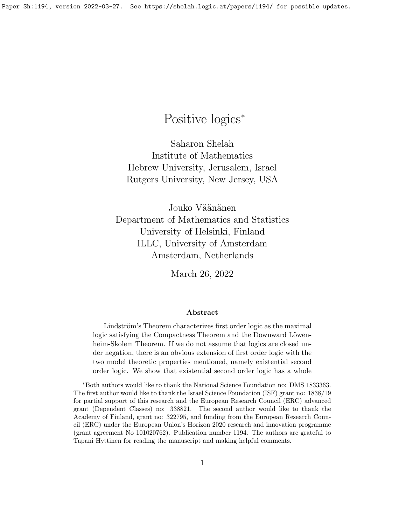# Positive logics<sup>∗</sup>

Saharon Shelah Institute of Mathematics Hebrew University, Jerusalem, Israel Rutgers University, New Jersey, USA

Jouko Väänänen Department of Mathematics and Statistics University of Helsinki, Finland ILLC, University of Amsterdam Amsterdam, Netherlands

March 26, 2022

#### Abstract

Lindström's Theorem characterizes first order logic as the maximal logic satisfying the Compactness Theorem and the Downward Löwenheim-Skolem Theorem. If we do not assume that logics are closed under negation, there is an obvious extension of first order logic with the two model theoretic properties mentioned, namely existential second order logic. We show that existential second order logic has a whole

<sup>∗</sup>Both authors would like to thank the National Science Foundation no: DMS 1833363. The first author would like to thank the Israel Science Foundation (ISF) grant no: 1838/19 for partial support of this research and the European Research Council (ERC) advanced grant (Dependent Classes) no: 338821. The second author would like to thank the Academy of Finland, grant no: 322795, and funding from the European Research Council (ERC) under the European Union's Horizon 2020 research and innovation programme (grant agreement No 101020762). Publication number 1194. The authors are grateful to Tapani Hyttinen for reading the manuscript and making helpful comments.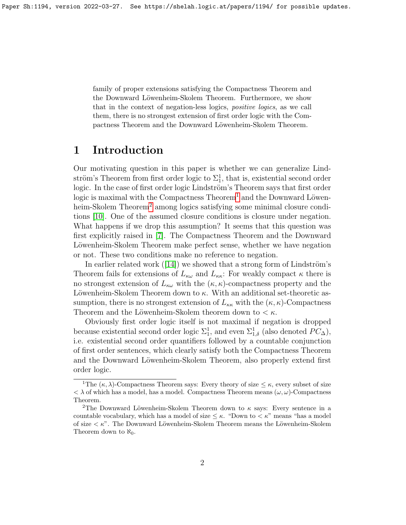family of proper extensions satisfying the Compactness Theorem and the Downward Löwenheim-Skolem Theorem. Furthermore, we show that in the context of negation-less logics, positive logics, as we call them, there is no strongest extension of first order logic with the Compactness Theorem and the Downward Löwenheim-Skolem Theorem.

# 1 Introduction

Our motivating question in this paper is whether we can generalize Lindström's Theorem from first order logic to  $\Sigma_1^1$ , that is, existential second order logic. In the case of first order logic Lindström's Theorem says that first order logic is maximal with the Compactness  $\text{Theorem}^1$  $\text{Theorem}^1$  and the Downward Löwen-heim-Skolem Theorem<sup>[2](#page-1-1)</sup> among logics satisfying some minimal closure conditions [\[10\]](#page-20-0). One of the assumed closure conditions is closure under negation. What happens if we drop this assumption? It seems that this question was first explicitly raised in [\[7\]](#page-19-0). The Compactness Theorem and the Downward Löwenheim-Skolem Theorem make perfect sense, whether we have negation or not. These two conditions make no reference to negation.

Inearlier related work  $([14])$  $([14])$  $([14])$  we showed that a strong form of Lindström's Theorem fails for extensions of  $L_{\kappa\omega}$  and  $L_{\kappa\kappa}$ : For weakly compact  $\kappa$  there is no strongest extension of  $L_{\kappa\omega}$  with the  $(\kappa, \kappa)$ -compactness property and the Löwenheim-Skolem Theorem down to  $\kappa$ . With an additional set-theoretic assumption, there is no strongest extension of  $L_{\kappa\kappa}$  with the  $(\kappa, \kappa)$ -Compactness Theorem and the Löwenheim-Skolem theorem down to  $\lt \kappa$ .

Obviously first order logic itself is not maximal if negation is dropped because existential second order logic  $\Sigma^1_1$ , and even  $\Sigma^1_{1,\delta}$  (also denoted  $PC_{\Delta}$ ), i.e. existential second order quantifiers followed by a countable conjunction of first order sentences, which clearly satisfy both the Compactness Theorem and the Downward Löwenheim-Skolem Theorem, also properly extend first order logic.

<span id="page-1-0"></span><sup>&</sup>lt;sup>1</sup>The  $(\kappa, \lambda)$ -Compactness Theorem says: Every theory of size  $\leq \kappa$ , every subset of size  $< \lambda$  of which has a model, has a model. Compactness Theorem means  $(\omega, \omega)$ -Compactness Theorem.

<span id="page-1-1"></span><sup>&</sup>lt;sup>2</sup>The Downward Löwenheim-Skolem Theorem down to  $\kappa$  says: Every sentence in a countable vocabulary, which has a model of size  $\leq \kappa$ . "Down to  $\lt \kappa$ " means "has a model of size  $\lt k$ ". The Downward Löwenheim-Skolem Theorem means the Löwenheim-Skolem Theorem down to  $\aleph_0$ .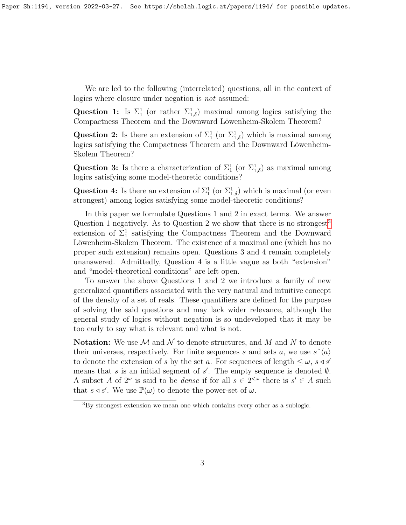We are led to the following (interrelated) questions, all in the context of logics where closure under negation is not assumed:

Question 1: Is  $\Sigma_1^1$  (or rather  $\Sigma_{1,\delta}^1$ ) maximal among logics satisfying the Compactness Theorem and the Downward Löwenheim-Skolem Theorem?

Question 2: Is there an extension of  $\Sigma_1^1$  (or  $\Sigma_{1,\delta}^1$ ) which is maximal among logics satisfying the Compactness Theorem and the Downward Löwenheim-Skolem Theorem?

Question 3: Is there a characterization of  $\Sigma_1^1$  (or  $\Sigma_{1,\delta}^1$ ) as maximal among logics satisfying some model-theoretic conditions?

Question 4: Is there an extension of  $\Sigma_1^1$  (or  $\Sigma_{1,\delta}^1$ ) which is maximal (or even strongest) among logics satisfying some model-theoretic conditions?

In this paper we formulate Questions 1 and 2 in exact terms. We answer Question 1 negatively. As to Question 2 we show that there is no strongest<sup>[3](#page-2-0)</sup> extension of  $\Sigma_1^1$  satisfying the Compactness Theorem and the Downward Löwenheim-Skolem Theorem. The existence of a maximal one (which has no proper such extension) remains open. Questions 3 and 4 remain completely unanswered. Admittedly, Question 4 is a little vague as both "extension" and "model-theoretical conditions" are left open.

To answer the above Questions 1 and 2 we introduce a family of new generalized quantifiers associated with the very natural and intuitive concept of the density of a set of reals. These quantifiers are defined for the purpose of solving the said questions and may lack wider relevance, although the general study of logics without negation is so undeveloped that it may be too early to say what is relevant and what is not.

**Notation:** We use  $\mathcal M$  and  $\mathcal N$  to denote structures, and  $M$  and  $N$  to denote their universes, respectively. For finite sequences s and sets a, we use  $s \hat{ } (a)$ to denote the extension of s by the set a. For sequences of length  $\leq \omega$ ,  $s \triangleleft s'$ means that s is an initial segment of  $s'$ . The empty sequence is denoted  $\emptyset$ . A subset A of  $2^{\omega}$  is said to be *dense* if for all  $s \in 2^{<\omega}$  there is  $s' \in A$  such that  $s \triangleleft s'$ . We use  $\mathbb{P}(\omega)$  to denote the power-set of  $\omega$ .

<span id="page-2-0"></span><sup>3</sup>By strongest extension we mean one which contains every other as a sublogic.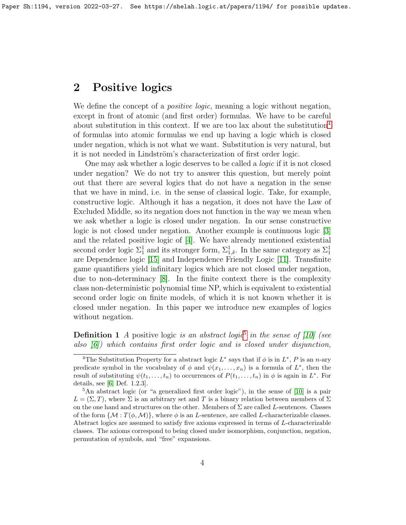## 2 Positive logics

We define the concept of a *positive logic*, meaning a logic without negation, except in front of atomic (and first order) formulas. We have to be careful about substitution in this context. If we are too lax about the substitution<sup>[4](#page-3-0)</sup> of formulas into atomic formulas we end up having a logic which is closed under negation, which is not what we want. Substitution is very natural, but it is not needed in Lindström's characterization of first order logic.

One may ask whether a logic deserves to be called a logic if it is not closed under negation? We do not try to answer this question, but merely point out that there are several logics that do not have a negation in the sense that we have in mind, i.e. in the sense of classical logic. Take, for example, constructive logic. Although it has a negation, it does not have the Law of Excluded Middle, so its negation does not function in the way we mean when we ask whether a logic is closed under negation. In our sense constructive logic is not closed under negation. Another example is continuous logic [\[3\]](#page-19-1) and the related positive logic of [\[4\]](#page-19-2). We have already mentioned existential second order logic  $\Sigma_1^1$  and its stronger form,  $\Sigma_{1,\delta}^1$ . In the same category as  $\Sigma_1^1$ are Dependence logic [\[15\]](#page-20-2) and Independence Friendly Logic [\[11\]](#page-20-3). Transfinite game quantifiers yield infinitary logics which are not closed under negation, due to non-determinacy [\[8\]](#page-19-3). In the finite context there is the complexity class non-deterministic polynomial time NP, which is equivalent to existential second order logic on finite models, of which it is not known whether it is closed under negation. In this paper we introduce new examples of logics without negation.

**Definition 1** A positive logic is an abstract logic<sup>[5](#page-3-1)</sup> in the sense of [\[10\]](#page-20-0) (see also [\[6\]](#page-19-4)) which contains first order logic and is closed under disjunction,

<span id="page-3-0"></span><sup>&</sup>lt;sup>4</sup>The Substitution Property for a abstract logic  $L^*$  says that if  $\phi$  is in  $L^*$ , P is an n-ary predicate symbol in the vocabulary of  $\phi$  and  $\psi(x_1, \ldots, x_n)$  is a formula of  $L^*$ , then the result of substituting  $\psi(t_1,\ldots,t_n)$  to occurrences of  $P(t_1,\ldots,t_n)$  in  $\phi$  is again in  $L^*$ . For details, see [\[6,](#page-19-4) Def. 1.2.3].

<span id="page-3-1"></span><sup>5</sup>An abstract logic (or "a generalized first order logic"), in the sense of [\[10\]](#page-20-0) is a pair  $L = (\Sigma, T)$ , where  $\Sigma$  is an arbitrary set and T is a binary relation between members of  $\Sigma$ on the one hand and structures on the other. Members of  $\Sigma$  are called L-sentences. Classes of the form  $\{\mathcal{M}: T(\phi, \mathcal{M})\}$ , where  $\phi$  is an L-sentence, are called L-characterizable classes. Abstract logics are assumed to satisfy five axioms expressed in terms of L-characterizable classes. The axioms correspond to being closed under isomorphism, conjunction, negation, permutation of symbols, and "free" expansions.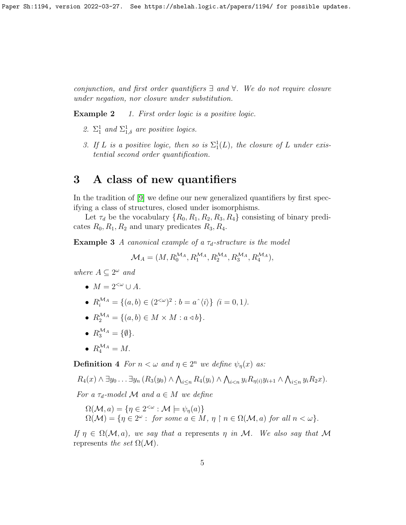Paper Sh:1194, version 2022-03-27. See https://shelah.logic.at/papers/1194/ for possible updates.

conjunction, and first order quantifiers ∃ and ∀. We do not require closure under negation, nor closure under substitution.

**Example 2** 1. First order logic is a positive logic.

- 2.  $\Sigma_1^1$  and  $\Sigma_{1,\delta}^1$  are positive logics.
- 3. If L is a positive logic, then so is  $\Sigma_1^1(L)$ , the closure of L under existential second order quantification.

# 3 A class of new quantifiers

In the tradition of [\[9\]](#page-19-5) we define our new generalized quantifiers by first specifying a class of structures, closed under isomorphisms.

Let  $\tau_d$  be the vocabulary  $\{R_0, R_1, R_2, R_3, R_4\}$  consisting of binary predicates  $R_0, R_1, R_2$  and unary predicates  $R_3, R_4$ .

<span id="page-4-0"></span>**Example 3** A canonical example of a  $\tau_d$ -structure is the model

$$
\mathcal{M}_A = (M, R_0^{\mathcal{M}_A}, R_1^{\mathcal{M}_A}, R_2^{\mathcal{M}_A}, R_3^{\mathcal{M}_A}, R_4^{\mathcal{M}_A}),
$$

where  $A \subseteq 2^{\omega}$  and

- $M = 2^{<\omega} \cup A$ .
- $R_i^{\mathcal{M}_A} = \{(a, b) \in (2^{<\omega})^2 : b = a^{\hat{ }}\langle i \rangle \} \ (i = 0, 1).$
- $R_2^{\mathcal{M}_A} = \{ (a, b) \in M \times M : a \triangleleft b \}.$
- $R_3^{\mathcal{M}_A} = \{\emptyset\}.$
- $R_4^{\mathcal{M}_A} = M$ .

<span id="page-4-1"></span>**Definition 4** For  $n < \omega$  and  $\eta \in 2^n$  we define  $\psi_{\eta}(x)$  as:

$$
R_4(x) \wedge \exists y_0 \ldots \exists y_n (R_3(y_0) \wedge \bigwedge_{i \leq n} R_4(y_i) \wedge \bigwedge_{i < n} y_i R_{\eta(i)} y_{i+1} \wedge \bigwedge_{i \leq n} y_i R_2 x).
$$

For a  $\tau_d$ -model M and  $a \in M$  we define

$$
\Omega(\mathcal{M}, a) = \{ \eta \in 2^{<\omega} : \mathcal{M} \models \psi_{\eta}(a) \}
$$
  

$$
\Omega(\mathcal{M}) = \{ \eta \in 2^{\omega} : \text{ for some } a \in M, \eta \upharpoonright n \in \Omega(\mathcal{M}, a) \text{ for all } n < \omega \}.
$$

If  $\eta \in \Omega(\mathcal{M}, a)$ , we say that a represents  $\eta$  in M. We also say that M represents the set  $\Omega(\mathcal{M})$ .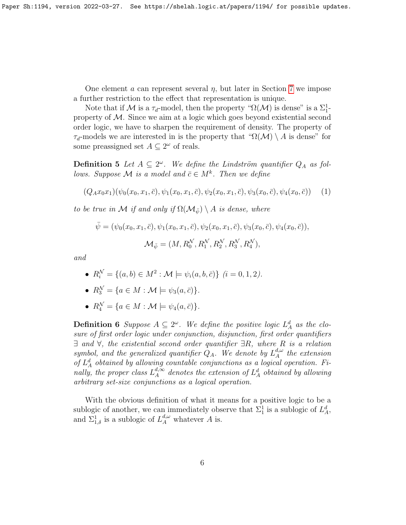One element a can represent several  $\eta$ , but later in Section [7](#page-13-0) we impose a further restriction to the effect that representation is unique.

Note that if M is a  $\tau_d$ -model, then the property " $\Omega(\mathcal{M})$  is dense" is a  $\Sigma_1^1$ property of  $M$ . Since we aim at a logic which goes beyond existential second order logic, we have to sharpen the requirement of density. The property of  $\tau_d$ -models we are interested in is the property that " $\Omega(\mathcal{M}) \setminus A$  is dense" for some preassigned set  $A \subseteq 2^{\omega}$  of reals.

<span id="page-5-0"></span>**Definition 5** Let  $A \subseteq 2^{\omega}$ . We define the Lindström quantifier  $Q_A$  as follows. Suppose M is a model and  $\bar{c} \in M^k$ . Then we define

<span id="page-5-1"></span>
$$
(Q_A x_0 x_1)(\psi_0(x_0, x_1, \bar{c}), \psi_1(x_0, x_1, \bar{c}), \psi_2(x_0, x_1, \bar{c}), \psi_3(x_0, \bar{c}), \psi_4(x_0, \bar{c})) \tag{1}
$$

to be true in M if and only if  $\Omega(\mathcal{M}_{\bar{\psi}}) \setminus A$  is dense, where

$$
\bar{\psi} = (\psi_0(x_0, x_1, \bar{c}), \psi_1(x_0, x_1, \bar{c}), \psi_2(x_0, x_1, \bar{c}), \psi_3(x_0, \bar{c}), \psi_4(x_0, \bar{c})),
$$
  

$$
\mathcal{M}_{\bar{\psi}} = (M, R_0^{\mathcal{N}}, R_1^{\mathcal{N}}, R_2^{\mathcal{N}}, R_3^{\mathcal{N}}, R_4^{\mathcal{N}}),
$$

and

- $R_i^{\mathcal{N}} = \{(a, b) \in M^2 : \mathcal{M} \models \psi_i(a, b, \bar{c})\} \ (i = 0, 1, 2).$
- $R_3^{\mathcal{N}} = \{a \in M : \mathcal{M} \models \psi_3(a, \bar{c})\}.$
- $R_4^{\mathcal{N}} = \{ a \in M : \mathcal{M} \models \psi_4(a, \bar{c}) \}.$

**Definition 6** Suppose  $A \subseteq 2^{\omega}$ . We define the positive logic  $L_A^d$  as the closure of first order logic under conjunction, disjunction, first order quantifiers  $\exists$  and  $\forall$ , the existential second order quantifier  $\exists R$ , where R is a relation symbol, and the generalized quantifier  $Q_A$ . We denote by  $L_A^{d,\omega}$  $_{A}^{a,\omega}$  the extension of  $L_A^d$  obtained by allowing countable conjunctions as a logical operation. Finally, the proper class  $L_A^{d,\infty}$  $\mathcal{A}^{d,\infty}_A$  denotes the extension of  $L^d_A$  obtained by allowing arbitrary set-size conjunctions as a logical operation.

<span id="page-5-2"></span>With the obvious definition of what it means for a positive logic to be a sublogic of another, we can immediately observe that  $\Sigma_1^1$  is a sublogic of  $L_A^d$ , and  $\Sigma_{1,\delta}^1$  is a sublogic of  $L_A^{d,\omega}$  whatever A is.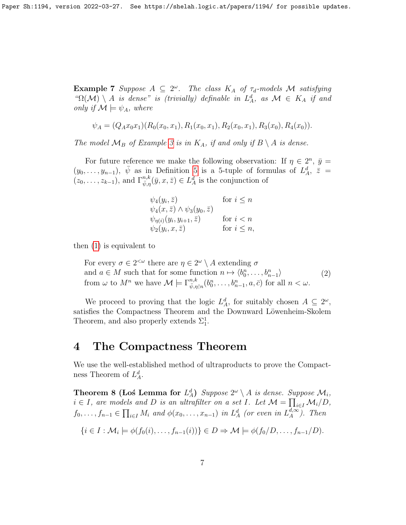**Example 7** Suppose  $A \subseteq 2^{\omega}$ . The class  $K_A$  of  $\tau_d$ -models M satisfying " $\Omega(\mathcal{M}) \setminus A$  is dense" is (trivially) definable in  $L_A^d$ , as  $\mathcal{M} \in K_A$  if and only if  $\mathcal{M} \models \psi_A$ , where

$$
\psi_A = (Q_A x_0 x_1)(R_0(x_0, x_1), R_1(x_0, x_1), R_2(x_0, x_1), R_3(x_0), R_4(x_0)).
$$

The model  $\mathcal{M}_B$  of Example [3](#page-4-0) is in  $K_A$ , if and only if  $B \setminus A$  is dense.

For future reference we make the following observation: If  $\eta \in 2^n$ ,  $\bar{y} =$  $(y_0, \ldots, y_{n-1}), \ \bar{\psi}$  as in Definition [5](#page-5-0) is a 5-tuple of formulas of  $L_A^d, \ \bar{z}$  $(z_0,\ldots,z_{k-1}),$  and  $\Gamma_{\bar{\psi},\eta}^{n,k}(\bar{y},x,\bar{z})\in L^d_A$  is the conjunction of

| $\psi_4(y_i,\bar{z})$                          | for $i \leq n$   |
|------------------------------------------------|------------------|
| $\psi_4(x,\bar{z}) \wedge \psi_3(y_0,\bar{z})$ |                  |
| $\psi_{\eta(i)}(y_i, y_{i+1}, \overline{z})$   | for $i < n$      |
| $\psi_2(y_i, x, \bar{z})$                      | for $i \leq n$ , |

then [\(1\)](#page-5-1) is equivalent to

<span id="page-6-1"></span>For every  $\sigma \in 2^{<\omega}$  there are  $\eta \in 2^{\omega} \setminus A$  extending  $\sigma$ and  $a \in M$  such that for some function  $n \mapsto \langle b_0^n, \ldots, b_{n-1}^n \rangle$ from  $\omega$  to  $M^n$  we have  $\mathcal{M} \models \Gamma^{n,k}_{\overline{\psi},\eta\restriction n}(b^n_0,\ldots,b^n_{n-1},a,\overline{c})$  for all  $n < \omega$ . (2)

We proceed to proving that the logic  $L_A^d$ , for suitably chosen  $A \subseteq 2^\omega$ , satisfies the Compactness Theorem and the Downward Löwenheim-Skolem Theorem, and also properly extends  $\Sigma_1^1$ .

### 4 The Compactness Theorem

We use the well-established method of ultraproducts to prove the Compactness Theorem of  $L_A^d$ .

<span id="page-6-0"></span>**Theorem 8 (Los Lemma for**  $L_A^d$ ) Suppose  $2^{\omega} \setminus A$  is dense. Suppose  $\mathcal{M}_i$ ,  $i \in I$ , are models and D is an ultrafilter on a set I. Let  $\mathcal{M} = \prod_{i \in I} \mathcal{M}_i/D$ ,  $f_0, \ldots, f_{n-1} \in \prod_{i \in I} M_i$  and  $\phi(x_0, \ldots, x_{n-1})$  in  $L_A^d$  (or even in  $L_A^{d, \infty}$  $_{A}^{a,\infty}$ ). Then

$$
\{i \in I : \mathcal{M}_i \models \phi(f_0(i), \dots, f_{n-1}(i))\} \in D \Rightarrow \mathcal{M} \models \phi(f_0/D, \dots, f_{n-1}/D).
$$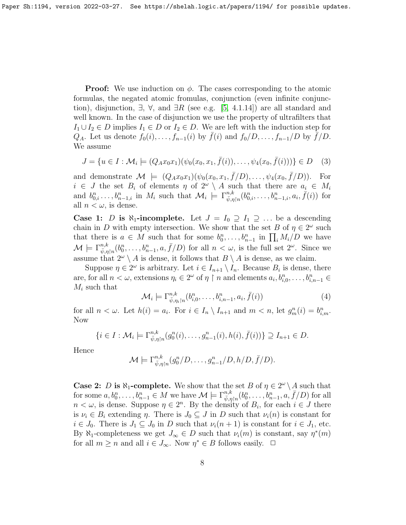**Proof:** We use induction on  $\phi$ . The cases corresponding to the atomic formulas, the negated atomic fromulas, conjunction (even infinite conjunction), disjunction,  $\exists$ ,  $\forall$ , and  $\exists R$  (see e.g. [\[5,](#page-19-6) 4.1.14]) are all standard and well known. In the case of disjunction we use the property of ultrafilters that  $I_1 \cup I_2 \in D$  implies  $I_1 \in D$  or  $I_2 \in D$ . We are left with the induction step for  $Q_A$ . Let us denote  $f_0(i), \ldots, f_{n-1}(i)$  by  $\bar{f}(i)$  and  $f_0/D, \ldots, f_{n-1}/D$  by  $\bar{f}/D$ . We assume

$$
J = \{ u \in I : \mathcal{M}_i \models (Q_A x_0 x_1)(\psi_0(x_0, x_1, \bar{f}(i)), \dots, \psi_4(x_0, \bar{f}(i))) \} \in D \quad (3)
$$

and demonstrate  $\mathcal{M} \models (Q_A x_0 x_1)(\psi_0(x_0, x_1, \bar{f}/D), \dots, \psi_4(x_0, \bar{f}/D)).$  For  $i \in J$  the set  $B_i$  of elements  $\eta$  of  $2^{\omega} \setminus A$  such that there are  $a_i \in M_i$ and  $b_{0,i}^n \ldots, b_{n-1,i}^n$  in  $M_i$  such that  $\mathcal{M}_i \models \Gamma_{\bar{\psi},\eta \restriction n}^{n,k}(b_{0,i}^n, \ldots, b_{n-1,i}^n, a_i, \bar{f}(i))$  for all  $n < \omega$ , is dense.

**Case 1:** D is  $\aleph_1$ -incomplete. Let  $J = I_0 \supseteq I_1 \supseteq \dots$  be a descending chain in D with empty intersection. We show that the set B of  $\eta \in 2^{\omega}$  such that there is  $a \in M$  such that for some  $b_0^n, \ldots, b_{n-1}^n$  in  $\prod_i M_i/D$  we have  $\mathcal{M} \models \Gamma^{n,k}_{\bar{\psi},\eta\restriction{n}}(b_0^n,\ldots,b_{n-1}^n,a,\bar{f}/D)$  for all  $n < \omega$ , is the full set  $2^{\omega}$ . Since we assume that  $2^{\omega} \setminus A$  is dense, it follows that  $B \setminus A$  is dense, as we claim.

Suppose  $\eta \in 2^{\omega}$  is arbitrary. Let  $i \in I_{n+1} \setminus I_n$ . Because  $B_i$  is dense, there are, for all  $n < \omega$ , extensions  $\eta_i \in 2^{\omega}$  of  $\eta \restriction n$  and elements  $a_i, b_{i,0}^n, \ldots, b_{i,n-1}^n \in$  $M_i$  such that

$$
\mathcal{M}_i \models \Gamma^{n,k}_{\overline{\psi}, \eta_i \upharpoonright n} (b^n_{i,0}, \dots, b^n_{i,n-1}, a_i, \overline{f}(i)) \tag{4}
$$

for all  $n < \omega$ . Let  $h(i) = a_i$ . For  $i \in I_n \setminus I_{n+1}$  and  $m < n$ , let  $g_m^n(i) = b_{i,m}^n$ . Now

$$
\{i \in I : \mathcal{M}_i \models \Gamma_{\bar{\psi}, \eta \restriction n}^{n,k}(g_0^n(i), \dots, g_{n-1}^n(i), h(i), \bar{f}(i))\} \supseteq I_{n+1} \in D.
$$

Hence

$$
\mathcal{M} \models \Gamma^{n,k}_{\overline{\psi},\eta\restriction n}(g_0^n/D,\ldots,g_{n-1}^n/D,h/D,\overline{f}/D).
$$

<span id="page-7-0"></span>**Case 2:** D is  $\aleph_1$ -complete. We show that the set B of  $\eta \in 2^\omega \setminus A$  such that for some  $a, b_0^n, \ldots, b_{n-1}^n \in M$  we have  $\mathcal{M} \models \Gamma_{\bar{\psi}, \eta \restriction n}^{n,k}(b_0^n, \ldots, b_{n-1}^n, a, \bar{f}/D)$  for all  $n < \omega$ , is dense. Suppose  $\eta \in 2^n$ . By the density of  $B_i$ , for each  $i \in J$  there is  $\nu_i \in B_i$  extending  $\eta$ . There is  $J_0 \subseteq J$  in D such that  $\nu_i(n)$  is constant for  $i \in J_0$ . There is  $J_1 \subseteq J_0$  in D such that  $\nu_i(n+1)$  is constant for  $i \in J_1$ , etc. By  $\aleph_1$ -completeness we get  $J_\infty \in D$  such that  $\nu_i(m)$  is constant, say  $\eta^*(m)$ for all  $m \geq n$  and all  $i \in J_{\infty}$ . Now  $\eta^* \in B$  follows easily.  $\Box$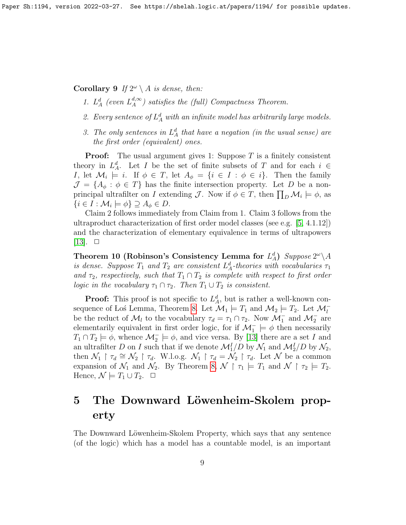Corollary 9 If  $2^{\omega} \setminus A$  is dense, then:

- 1.  $L^d_A$  (even  $L^{d,\infty}_A$  $\binom{a,\infty}{A}$  satisfies the (full) Compactness Theorem.
- 2. Every sentence of  $L^d_A$  with an infinite model has arbitrarily large models.
- 3. The only sentences in  $L_A^d$  that have a negation (in the usual sense) are the first order (equivalent) ones.

**Proof:** The usual argument gives 1: Suppose  $T$  is a finitely consistent theory in  $L_A^d$ . Let I be the set of finite subsets of T and for each  $i \in$ I, let  $\mathcal{M}_i \models i$ . If  $\phi \in T$ , let  $A_{\phi} = \{i \in I : \phi \in i\}$ . Then the family  $\mathcal{J} = \{A_{\phi} : \phi \in T\}$  has the finite intersection property. Let D be a nonprincipal ultrafilter on I extending J. Now if  $\phi \in T$ , then  $\prod_D \mathcal{M}_i \models \phi$ , as  $\{i \in I : \mathcal{M}_i \models \phi\} \supseteq A_\phi \in D.$ 

Claim 2 follows immediately from Claim from 1. Claim 3 follows from the ultraproduct characterization of first order model classes (see e.g. [\[5,](#page-19-6) 4.1.12]) and the characterization of elementary equivalence in terms of ultrapowers  $[13]$ .  $\Box$ 

Theorem 10 (Robinson's Consistency Lemma for  $L_A^d$ ) Suppose  $2^\omega \backslash A$ is dense. Suppose  $T_1$  and  $T_2$  are consistent  $L^d_A$ -theories with vocabularies  $\tau_1$ and  $\tau_2$ , respectively, such that  $T_1 \cap T_2$  is complete with respect to first order *logic in the vocabulary*  $\tau_1 \cap \tau_2$ . Then  $T_1 \cup T_2$  is consistent.

**Proof:** This proof is not specific to  $L_A^d$ , but is rather a well-known con-sequence of Los Lemma, Theorem [8.](#page-6-0) Let  $\mathcal{M}_1 \models T_1$  and  $\mathcal{M}_2 \models T_2$ . Let  $\mathcal{M}_l^$ be the reduct of  $\mathcal{M}_l$  to the vocabulary  $\tau_d = \tau_1 \cap \tau_2$ . Now  $\mathcal{M}_1^-$  and  $\mathcal{M}_2^-$  are elementarily equivalent in first order logic, for if  $\mathcal{M}_1^- \models \phi$  then necessarily  $T_1 \cap T_2 \models \phi$ , whence  $\mathcal{M}_2^- \models \phi$ , and vice versa. By [\[13\]](#page-20-4) there are a set I and an ultrafilter D on I such that if we denote  $\mathcal{M}_1^I/D$  by  $\mathcal{N}_1$  and  $\mathcal{M}_2^I/D$  by  $\mathcal{N}_2$ , then  $\mathcal{N}_1 \restriction \tau_d \cong \mathcal{N}_2 \restriction \tau_d$ . W.l.o.g.  $\mathcal{N}_1 \restriction \tau_d = \mathcal{N}_2 \restriction \tau_d$ . Let  $\mathcal N$  be a common expansion of  $\mathcal{N}_1$  and  $\mathcal{N}_2$ . By Theorem [8,](#page-6-0)  $\mathcal{N} \restriction \tau_1 \models T_1$  and  $\mathcal{N} \restriction \tau_2 \models T_2$ . Hence,  $\mathcal{N} \models T_1 \cup T_2$ .  $\Box$ 

# 5 The Downward Löwenheim-Skolem property

The Downward Löwenheim-Skolem Property, which says that any sentence (of the logic) which has a model has a countable model, is an important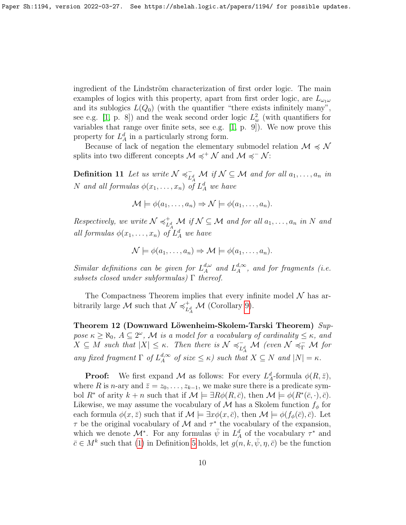ingredient of the Lindström characterization of first order logic. The main examples of logics with this property, apart from first order logic, are  $L_{\omega_1\omega}$ and its sublogics  $L(Q_0)$  (with the quantifier "there exists infinitely many", see e.g. [\[1,](#page-19-7) p. 8]) and the weak second order logic  $L^2_w$  (with quantifiers for variables that range over finite sets, see e.g. [\[1,](#page-19-7) p. 9]). We now prove this property for  $L_A^d$  in a particularly strong form.

Because of lack of negation the elementary submodel relation  $\mathcal{M} \preccurlyeq \mathcal{N}$ splits into two different concepts  $\mathcal{M} \preccurlyeq^+ \mathcal{N}$  and  $\mathcal{M} \preccurlyeq^- \mathcal{N}$ :

Definition 11 Let us write  $\mathcal{N} \preccurlyeq_{\mathcal{N}}^{-1}$  $\overline{L}_A^d$  *M* if  $\mathcal{N} \subseteq \mathcal{M}$  and for all  $a_1, \ldots, a_n$  in N and all formulas  $\phi(x_1, \ldots, x_n)$  of  $L^d_A$  we have

$$
\mathcal{M} \models \phi(a_1, \dots, a_n) \Rightarrow \mathcal{N} \models \phi(a_1, \dots, a_n).
$$

Respectively, we write  $\mathcal{N} \preccurlyeq_L^+$  $\mathcal{H}_{L_A^d}^+$   $\mathcal{M}$  if  $\mathcal{N} \subseteq \mathcal{M}$  and for all  $a_1, \ldots, a_n$  in  $N$  and all formulas  $\phi(x_1, \ldots, x_n)$  of  $L^d_A$  we have

$$
\mathcal{N} \models \phi(a_1, \ldots, a_n) \Rightarrow \mathcal{M} \models \phi(a_1, \ldots, a_n).
$$

Similar definitions can be given for  $L_A^{d,\omega}$  $A^d, \omega$  and  $L_A^{d, \infty}$  $_{A}^{a,\infty}$ , and for fragments (i.e. subsets closed under subformulas)  $\Gamma$  thereof.

The Compactness Theorem implies that every infinite model  $\mathcal N$  has arbitrarily large M such that  $\mathcal{N} \preccurlyeq_r^+$  $^+_{L^d_A}$  M (Corollary [9\)](#page-7-0).

<span id="page-9-0"></span>Theorem 12 (Downward Löwenheim-Skolem-Tarski Theorem) Suppose  $\kappa \ge \aleph_0$ ,  $A \subseteq 2^\omega$ , M is a model for a vocabulary of cardinality  $\le \kappa$ , and  $X \subseteq M$  such that  $|X| \leq \kappa$ . Then there is  $\mathcal{N} \preccurlyeq_{\mathcal{N}}^{-1}$  $\overline{L^d_A}$  M (even  $\mathcal{N} \preccurlyeq_{\Gamma}^{-} \mathcal{M}$  for any fixed fragment  $\Gamma$  of  $L^{d,\infty}_A$  $\mathcal{A}^{d,\infty}_A$  of size  $\leq \kappa$ ) such that  $X \subseteq N$  and  $|N| = \kappa$ .

**Proof:** We first expand M as follows: For every  $L^d_A$ -formula  $\phi(R,\bar{z})$ , where R is n-ary and  $\bar{z} = z_0, \ldots, z_{k-1}$ , we make sure there is a predicate symbol  $R^*$  of arity  $k + n$  such that if  $\mathcal{M} \models \exists R\phi(R,\bar{c})$ , then  $\mathcal{M} \models \phi(R^*(\bar{c},\cdot),\bar{c})$ . Likewise, we may assume the vocabulary of M has a Skolem function  $f_{\phi}$  for each formula  $\phi(x,\bar{z})$  such that if  $\mathcal{M} \models \exists x \phi(x,\bar{c})$ , then  $\mathcal{M} \models \phi(f_{\phi}(\bar{c}),\bar{c})$ . Let  $\tau$  be the original vocabulary of M and  $\tau^*$  the vocabulary of the expansion, which we denote  $\mathcal{M}^*$ . For any formulas  $\bar{\psi}$  in  $L^d_A$  of the vocabulary  $\tau^*$  and  $\bar{c} \in M^k$  such that [\(1\)](#page-5-1) in Definition [5](#page-5-0) holds, let  $g(n, k, \bar{\psi}, \eta, \bar{c})$  be the function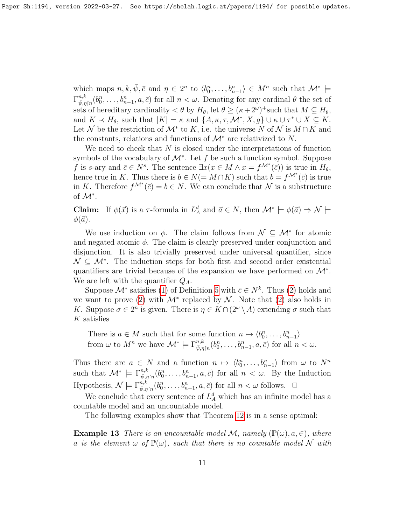which maps  $n, k, \bar{\psi}, \bar{c}$  and  $\eta \in 2^n$  to  $\langle b_0^n, \ldots, b_{n-1}^n \rangle \in M^n$  such that  $\mathcal{M}^*$   $\models$  $\Gamma_{\bar{d}}^{n,k}$  $\psi_{\bar{\psi},\eta\restriction n}^{n,k}(b_0^n,\ldots,b_{n-1}^n,a,\bar{c})$  for all  $n<\omega$ . Denoting for any cardinal  $\theta$  the set of sets of hereditary cardinality  $\lt \theta$  by  $H_{\theta}$ , let  $\theta \geq (\kappa + 2^{\omega})^+$  such that  $M \subseteq H_{\theta}$ , and  $K \prec H_{\theta}$ , such that  $|K| = \kappa$  and  $\{A, \kappa, \tau, \mathcal{M}^*, X, g\} \cup \kappa \cup \tau^* \cup X \subseteq K$ . Let N be the restriction of  $\mathcal{M}^*$  to K, i.e. the universe N of N is  $M \cap K$  and the constants, relations and functions of  $\mathcal{M}^*$  are relativized to N.

We need to check that  $N$  is closed under the interpretations of function symbols of the vocabulary of  $\mathcal{M}^*$ . Let f be such a function symbol. Suppose f is s-ary and  $\bar{c} \in N^s$ . The sentence  $\exists x(x \in M \land x = f^{\mathcal{M}^*}(\bar{c}))$  is true in  $H_{\theta}$ , hence true in K. Thus there is  $b \in N (= M \cap K)$  such that  $b = f^{\mathcal{M}^*}(\bar{c})$  is true in K. Therefore  $f^{\mathcal{M}^*}(\bar{c}) = b \in N$ . We can conclude that N is a substructure of  $\mathcal{M}^*$ .

**Claim:** If  $\phi(\vec{x})$  is a  $\tau$ -formula in  $L_A^d$  and  $\vec{a} \in N$ , then  $\mathcal{M}^* \models \phi(\vec{a}) \Rightarrow \mathcal{N} \models$  $\phi(\vec{a})$ .

We use induction on  $\phi$ . The claim follows from  $\mathcal{N} \subseteq \mathcal{M}^*$  for atomic and negated atomic  $\phi$ . The claim is clearly preserved under conjunction and disjunction. It is also trivially preserved under universal quantifier, since  $\mathcal{N} \subseteq \mathcal{M}^*$ . The induction steps for both first and second order existential quantifiers are trivial because of the expansion we have performed on  $\mathcal{M}^*$ . We are left with the quantifier  $Q_A$ .

Suppose  $\mathcal{M}^*$  satisfies [\(1\)](#page-5-1) of Definition [5](#page-5-0) with  $\bar{c} \in N^k$ . Thus [\(2\)](#page-6-1) holds and we want to prove [\(2\)](#page-6-1) with  $\mathcal{M}^*$  replaced by  $\mathcal{N}$ . Note that (2) also holds in K. Suppose  $\sigma \in 2^n$  is given. There is  $\eta \in K \cap (2^{\omega} \setminus A)$  extending  $\sigma$  such that K satisfies

There is  $a \in M$  such that for some function  $n \mapsto \langle b_0^n, \ldots, b_{n-1}^n \rangle$ from  $\omega$  to  $M^n$  we have  $\mathcal{M}^* \models \Gamma^{n,k}_{\bar{\psi},\eta \restriction n}(b_0^n,\ldots,b_{n-1}^n,a,\bar{c})$  for all  $n < \omega$ .

Thus there are  $a \in N$  and a function  $n \mapsto \langle b_0^n, \ldots, b_{n-1}^n \rangle$  from  $\omega$  to  $N^n$ such that  $\mathcal{M}^* \models \Gamma^{n,k}_{\bar{\psi},\eta\restriction n}(b_0^n,\ldots,b_{n-1}^n,a,\bar{c})$  for all  $n < \omega$ . By the Induction Hypothesis,  $\mathcal{N} \models \Gamma^{n,k}_{\overline{\psi},\eta\upharpoonright n}(b_0^n,\ldots,b_{n-1}^n,a,\overline{c})$  for all  $n < \omega$  follows.  $\Box$ 

We conclude that every sentence of  $L_A^d$  which has an infinite model has a countable model and an uncountable model.

The following examples show that Theorem [12](#page-9-0) is in a sense optimal:

**Example 13** There is an uncountable model M, namely  $(\mathbb{P}(\omega), a, \in)$ , where a is the element  $\omega$  of  $\mathbb{P}(\omega)$ , such that there is no countable model N with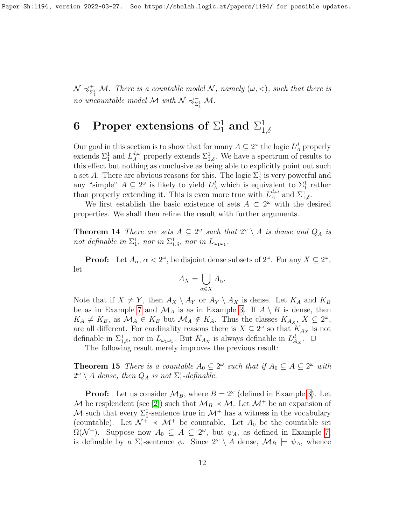$\mathcal{N} \preccurlyeq^+_{\nabla}$  $\sum_{i=1}^{+}$  M. There is a countable model N, namely  $(\omega, <)$ , such that there is no uncountable model M with  $\mathcal{N} \preccurlyeq_{\mathcal{N}}^ _{\Sigma_1^{1}}$  M.

### 6 Proper extensions of  $\Sigma^1_1$  and  $\Sigma^1_1$  $1,\delta$

Our goal in this section is to show that for many  $A \subseteq 2^{\omega}$  the logic  $L_A^d$  properly extends  $\Sigma_1^1$  and  $L_A^{d,\omega}$  properly extends  $\Sigma_{1,\delta}^1$ . We have a spectrum of results to this effect but nothing as conclusive as being able to explicitly point out such a set A. There are obvious reasons for this. The logic  $\Sigma_1^1$  is very powerful and any "simple"  $A \subseteq 2^{\omega}$  is likely to yield  $L_A^d$  which is equivalent to  $\Sigma_1^1$  rather than properly extending it. This is even more true with  $L_A^{d,\omega}$  $_{A}^{d,\omega}$  and  $\Sigma_{1,\delta}^{1}$ .

We first establish the basic existence of sets  $A \subset 2^{\omega}$  with the desired properties. We shall then refine the result with further arguments.

**Theorem 14** There are sets  $A \subseteq 2^{\omega}$  such that  $2^{\omega} \setminus A$  is dense and  $Q_A$  is not definable in  $\Sigma^1_1$ , nor in  $\Sigma^1_{1,\delta}$ , nor in  $L_{\omega_1\omega_1}$ .

**Proof:** Let  $A_{\alpha}$ ,  $\alpha < 2^{\omega}$ , be disjoint dense subsets of  $2^{\omega}$ . For any  $X \subseteq 2^{\omega}$ , let

$$
A_X = \bigcup_{\alpha \in X} A_\alpha.
$$

Note that if  $X \neq Y$ , then  $A_X \setminus A_Y$  or  $A_Y \setminus A_X$  is dense. Let  $K_A$  and  $K_B$ be as in Example [7](#page-5-2) and  $\mathcal{M}_A$  is as in Example [3.](#page-4-0) If  $A \setminus B$  is dense, then  $K_A \neq K_B$ , as  $\mathcal{M}_A \in K_B$  but  $\mathcal{M}_A \notin K_A$ . Thus the classes  $K_{A_X}, X \subseteq 2^\omega$ , are all different. For cardinality reasons there is  $X \subseteq 2^{\omega}$  so that  $K_{A_X}$  is not definable in  $\Sigma^1_{1,\delta}$ , nor in  $L_{\omega_1\omega_1}$ . But  $K_{A_X}$  is always definable in  $L_{A_X}^d$ .  $\Box$ 

The following result merely improves the previous result:

**Theorem 15** There is a countable  $A_0 \subseteq 2^{\omega}$  such that if  $A_0 \subseteq A \subseteq 2^{\omega}$  with  $2^{\omega} \setminus A$  dense, then  $Q_A$  is not  $\Sigma_1^1$ -definable.

**Proof:** Let us consider  $\mathcal{M}_B$ , where  $B = 2^{\omega}$  (defined in Example [3\)](#page-4-0). Let M be resplendent (see [\[2\]](#page-19-8)) such that  $\mathcal{M}_B \prec \mathcal{M}$ . Let  $\mathcal{M}^+$  be an expansion of M such that every  $\Sigma_1^1$ -sentence true in  $\mathcal{M}^+$  has a witness in the vocabulary (countable). Let  $\mathcal{N}^+ \prec \mathcal{M}^+$  be countable. Let  $A_0$  be the countable set  $\Omega(\mathcal{N}^+)$ . Suppose now  $A_0 \subseteq A \subseteq 2^{\omega}$ , but  $\psi_A$ , as defined in Example [7,](#page-5-2) is definable by a  $\Sigma_1^1$ -sentence  $\phi$ . Since  $2^\omega \setminus A$  dense,  $\mathcal{M}_B \models \psi_A$ , whence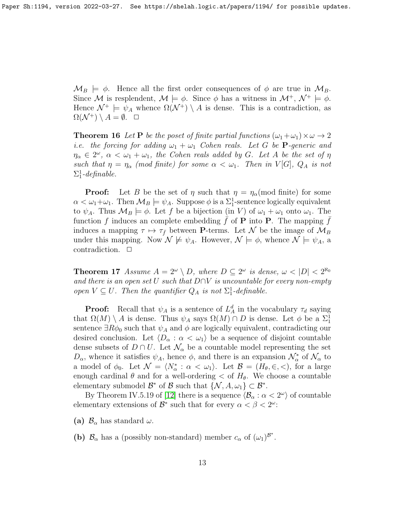$\mathcal{M}_B \models \phi$ . Hence all the first order consequences of  $\phi$  are true in  $\mathcal{M}_B$ . Since M is resplendent,  $\mathcal{M} \models \phi$ . Since  $\phi$  has a witness in  $\mathcal{M}^+, \mathcal{N}^+ \models \phi$ . Hence  $\mathcal{N}^+ \models \psi_A$  whence  $\Omega(\mathcal{N}^+) \setminus A$  is dense. This is a contradiction, as  $\Omega(\mathcal{N}^+) \setminus A = \emptyset. \quad \Box$ 

**Theorem 16** Let **P** be the poset of finite partial functions  $(\omega_1 + \omega_1) \times \omega \rightarrow 2$ i.e. the forcing for adding  $\omega_1 + \omega_1$  Cohen reals. Let G be P-generic and  $\eta_{\alpha} \in 2^{\omega}$ ,  $\alpha < \omega_1 + \omega_1$ , the Cohen reals added by G. Let A be the set of  $\eta$ such that  $\eta = \eta_\alpha$  (mod finite) for some  $\alpha < \omega_1$ . Then in V[G],  $Q_A$  is not  $\Sigma_1^1$ -definable.

**Proof:** Let B be the set of  $\eta$  such that  $\eta = \eta_{\alpha}(\text{mod finite})$  for some  $\alpha < \omega_1 + \omega_1$ . Then  $\mathcal{M}_B \models \psi_A$ . Suppose  $\phi$  is a  $\Sigma_1^1$ -sentence logically equivalent to  $\psi_A$ . Thus  $\mathcal{M}_B \models \phi$ . Let f be a bijection (in V) of  $\omega_1 + \omega_1$  onto  $\omega_1$ . The function f induces an complete embedding f of **P** into **P**. The mapping f induces a mapping  $\tau \mapsto \tau_{\bar{f}}$  between **P**-terms. Let N be the image of  $\mathcal{M}_B$ under this mapping. Now  $\mathcal{N} \not\models \psi_A$ . However,  $\mathcal{N} \models \phi$ , whence  $\mathcal{N} \models \psi_A$ , a contradiction.  $\Box$ 

<span id="page-12-0"></span>**Theorem 17** Assume  $A = 2^{\omega} \setminus D$ , where  $D \subseteq 2^{\omega}$  is dense,  $\omega < |D| < 2^{\aleph_0}$ and there is an open set U such that  $D \cap V$  is uncountable for every non-empty open  $V \subseteq U$ . Then the quantifier  $Q_A$  is not  $\Sigma_1^1$ -definable.

**Proof:** Recall that  $\psi_A$  is a sentence of  $L^d_A$  in the vocabulary  $\tau_d$  saying that  $\Omega(M) \setminus A$  is dense. Thus  $\psi_A$  says  $\Omega(M) \cap D$  is dense. Let  $\phi$  be a  $\Sigma_1^1$ sentence  $\exists R\phi_0$  such that  $\psi_A$  and  $\phi$  are logically equivalent, contradicting our desired conclusion. Let  $\langle D_{\alpha} : \alpha < \omega_1 \rangle$  be a sequence of disjoint countable dense subsets of  $D \cap U$ . Let  $\mathcal{N}_{\alpha}$  be a countable model representing the set  $D_{\alpha}$ , whence it satisfies  $\psi_A$ , hence  $\phi$ , and there is an expansion  $\mathcal{N}_{\alpha}^*$  of  $\mathcal{N}_{\alpha}$  to a model of  $\phi_0$ . Let  $\mathcal{N} = \langle N^*_{\alpha} : \alpha < \omega_1 \rangle$ . Let  $\mathcal{B} = (H_{\theta}, \in, <)$ , for a large enough cardinal  $\theta$  and for a well-ordering  $\epsilon$  of  $H_{\theta}$ . We choose a countable elementary submodel  $\mathcal{B}^*$  of  $\mathcal{B}$  such that  $\{\mathcal{N}, \mathcal{A}, \omega_1\} \subset \mathcal{B}^*$ .

By Theorem IV.5.19 of [\[12\]](#page-20-5) there is a sequence  $\langle \mathcal{B}_{\alpha} : \alpha < 2^{\omega} \rangle$  of countable elementary extensions of  $\mathcal{B}^*$  such that for every  $\alpha < \beta < 2^{\omega}$ .

(a)  $\mathcal{B}_{\alpha}$  has standard  $\omega$ .

(b)  $\mathcal{B}_{\alpha}$  has a (possibly non-standard) member  $c_{\alpha}$  of  $(\omega_1)^{\mathcal{B}^*}.$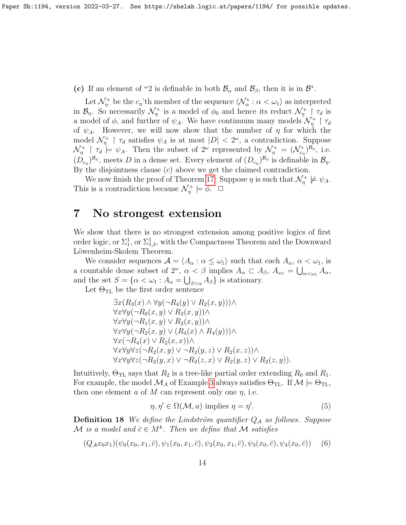(c) If an element of  $\omega_2$  is definable in both  $\mathcal{B}_{\alpha}$  and  $\mathcal{B}_{\beta}$ , then it is in  $\mathcal{B}^*$ .

Let  $\mathcal{N}_\eta^+$  be the  $c_\eta$ 'th member of the sequence  $\langle \mathcal{N}_\alpha^* : \alpha < \omega_1 \rangle$  as interpreted in  $\mathcal{B}_\eta$ . So necessarily  $\mathcal{N}_\eta^+$  is a model of  $\phi_0$  and hence its reduct  $\mathcal{N}_\eta^+ \upharpoonright \tau_d$  is a model of  $\phi$ , and further of  $\psi_A$ . We have continuum many models  $\mathcal{N}^+_{\eta} \upharpoonright \tau_d$ of  $\psi_A$ . However, we will now show that the number of  $\eta$  for which the model  $\mathcal{N}_\eta^+$  |  $\tau_d$  satisfies  $\psi_A$  is at most  $|D| < 2^\omega$ , a contradiction. Suppose  $\mathcal{N}_{\eta}^+ \restriction \tau_d \models \psi_A$ . Then the subset of  $2^{\omega}$  represented by  $\mathcal{N}_{\eta}^+ = (\mathcal{N}_{c_{\eta}}^*)^{\mathcal{B}_{\eta}}$ , i.e.  $(D_{c_n})^{\mathcal{B}_\eta}$ , meets D in a dense set. Every element of  $(D_{c_n})^{\mathcal{B}_\eta}$  is definable in  $\mathcal{B}_\eta$ . By the disjointness clause (c) above we get the claimed contradiction.

We now finish the proof of Theorem [17:](#page-12-0) Suppose  $\eta$  is such that  $\mathcal{N}_{\eta}^+ \not\models \psi_A$ . This is a contradiction because  $\mathcal{N}_{\eta}^+ \models \phi$ .  $\Box$ 

## <span id="page-13-0"></span>7 No strongest extension

We show that there is no strongest extension among positive logics of first order logic, or  $\Sigma^1_{1, \delta}$ , or  $\Sigma^1_{1, \delta}$ , with the Compactness Theorem and the Downward Löwenheim-Skolem Theorem.

We consider sequences  $\mathcal{A} = \langle A_{\alpha} : \alpha \leq \omega_1 \rangle$  such that each  $A_{\alpha}, \alpha < \omega_1$ , is a countable dense subset of  $2^{\omega}$ ,  $\alpha < \beta$  implies  $A_{\alpha} \subset A_{\beta}$ ,  $A_{\omega_1} = \bigcup_{\alpha < \omega_1} A_{\alpha}$ , and the set  $S = \{ \alpha < \omega_1 : A_\alpha = \bigcup_{\beta < \alpha} A_\beta \}$  is stationary.

Let  $\Theta_{\mathrm{TL}}$  be the first order sentence

$$
\exists x (R_3(x) \land \forall y (\neg R_4(y) \lor R_2(x, y))) \land \n\forall x \forall y (\neg R_0(x, y) \lor R_2(x, y)) \land \n\forall x \forall y (\neg R_1(x, y) \lor R_2(x, y)) \land \n\forall x \forall y (\neg R_2(x, y) \lor (R_4(x) \land R_4(y))) \land \n\forall x (\neg R_4(x) \lor R_2(x, x)) \land \n\forall x \forall y \forall z (\neg R_2(x, y) \lor \neg R_2(y, z) \lor R_2(x, z)) \land \n\forall x \forall y \forall z (\neg R_2(y, x) \lor \neg R_2(z, x) \lor R_2(y, z) \lor R_2(z, y)).
$$

Intuitively,  $\Theta_{\text{TL}}$  says that  $R_2$  is a tree-like partial order extending  $R_0$  and  $R_1$ . For example, the model  $\mathcal{M}_A$  of Example [3](#page-4-0) always satisfies  $\Theta_{\text{TL}}$ . If  $\mathcal{M} \models \Theta_{\text{TL}}$ , then one element  $a$  of  $M$  can represent only one  $\eta$ , i.e.

<span id="page-13-2"></span>
$$
\eta, \eta' \in \Omega(\mathcal{M}, a) \text{ implies } \eta = \eta'. \tag{5}
$$

**Definition 18** We define the Lindström quantifier  $Q_A$  as follows. Suppose M is a model and  $\bar{c} \in M^k$ . Then we define that M satisfies

<span id="page-13-1"></span>
$$
(Q_{\mathcal{A}}x_0x_1)(\psi_0(x_0,x_1,\bar{c}),\psi_1(x_0,x_1,\bar{c}),\psi_2(x_0,x_1,\bar{c}),\psi_3(x_0,\bar{c}),\psi_4(x_0,\bar{c})) \quad (6)
$$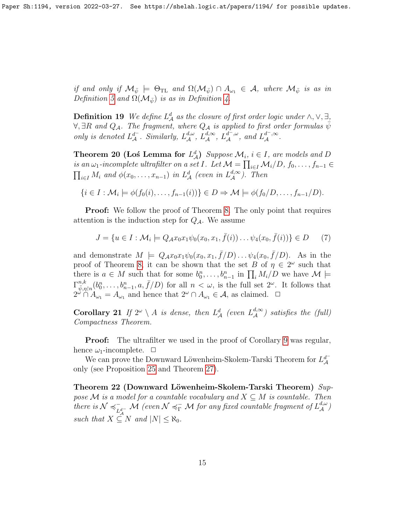if and only if  $\mathcal{M}_{\bar{\psi}} \models \Theta_{\text{TL}}$  and  $\Omega(\mathcal{M}_{\bar{\psi}}) \cap A_{\omega_1} \in \mathcal{A}$ , where  $\mathcal{M}_{\bar{\psi}}$  is as in Definition [5](#page-5-0) and  $\Omega(\mathcal{M}_{\bar{\psi}})$  is as in Definition [4.](#page-4-1)

<span id="page-14-2"></span>**Definition 19** We define  $L^d$  as the closure of first order logic under  $\wedge$ ,  $\vee$ ,  $\exists$ ,  $\forall$ ,  $\exists R$  and  $Q_{\mathcal{A}}$ . The fragment, where  $Q_{\mathcal{A}}$  is applied to first order formulas  $\bar{\psi}$ only is denoted  $L^{d^-}_\mathcal{A}$ . Similarly,  $L^{d,\omega}_\mathcal{A}$ ,  $L^{d,\infty}_\mathcal{A}$ ,  $L^{d^-,\omega}_\mathcal{A}$ , and  $L^{d^-,\infty}_\mathcal{A}$ .

<span id="page-14-0"></span>**Theorem 20 (Los Lemma for**  $L^d_{\mathcal{A}}$ ) Suppose  $\mathcal{M}_i$ ,  $i \in I$ , are models and D is an  $\omega_1$ -incomplete ultrafilter on a set I. Let  $\mathcal{M} = \prod_{i \in I} \mathcal{M}_i/D$ ,  $f_0, \ldots, f_{n-1} \in$  $\prod_{i\in I} M_i$  and  $\phi(x_0,\ldots,x_{n-1})$  in  $L^d_{\mathcal{A}}$  (even in  $L^{d,\infty}_{\mathcal{A}}$ ). Then

$$
\{i \in I : \mathcal{M}_i \models \phi(f_0(i), \dots, f_{n-1}(i))\} \in D \Rightarrow \mathcal{M} \models \phi(f_0/D, \dots, f_{n-1}/D).
$$

**Proof:** We follow the proof of Theorem [8.](#page-6-0) The only point that requires attention is the induction step for  $Q_{\mathcal{A}}$ . We assume

$$
J = \{ u \in I : \mathcal{M}_i \models Q_{\mathcal{A}} x_0 x_1 \psi_0(x_0, x_1, \bar{f}(i)) \dots \psi_4(x_0, \bar{f}(i)) \} \in D \tag{7}
$$

and demonstrate  $M \models Q_{\mathcal{A}} x_0 x_1 \psi_0(x_0, x_1, \bar{f}/D) \dots \psi_4(x_0, \bar{f}/D)$ . As in the proof of Theorem [8,](#page-6-0) it can be shown that the set B of  $\eta \in 2^{\omega}$  such that there is  $a \in M$  such that for some  $b_0^n, \ldots, b_{n-1}^n$  in  $\prod_i M_i/D$  we have  $M \models$  $\Gamma_{\bar{\psi}}^{n,k}$  $\psi_{\bar{\psi},\eta|n}^{n,k}(b_0^n,\ldots,b_{n-1}^n,a,\bar{f}/D)$  for all  $n<\omega$ , is the full set  $2^{\omega}$ . It follows that  $2^{\omega} \cap A_{\omega_1} = A_{\omega_1}$  and hence that  $2^{\omega} \cap A_{\omega_1} \in \mathcal{A}$ , as claimed.  $\Box$ 

Corollary 21 If  $2^{\omega} \setminus A$  is dense, then  $L^d_{\mathcal{A}}$  (even  $L^{d,\infty}_{\mathcal{A}}$ ) satisfies the (full) Compactness Theorem.

**Proof:** The ultrafilter we used in the proof of Corollary [9](#page-7-0) was regular, hence  $\omega_1$ -incomplete.  $\Box$ 

We can prove the Downward Löwenheim-Skolem-Tarski Theorem for  $L^{d^-}_{\mathcal{A}}$ only (see Proposition [25](#page-17-0) and Theorem [27\)](#page-18-0).

<span id="page-14-1"></span>Theorem 22 (Downward Löwenheim-Skolem-Tarski Theorem)  $Sup$ pose M is a model for a countable vocabulary and  $X \subseteq M$  is countable. Then there is  $\mathcal{N} \preccurlyeq_{\mathcal{N}}^ \sum_{L_d^d-}^+\mathcal{M}$  (even  $\mathcal{N}\preccurlyeq_{\Gamma}^-\mathcal{M}$  for any fixed countable fragment of  $L^{d,\omega}_\mathcal{A}$ ) such that  $X \subseteq N$  and  $|N| \leq \aleph_0$ .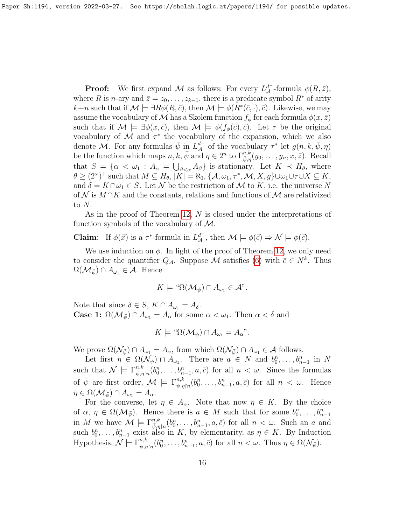**Proof:** We first expand M as follows: For every  $L_A^{d^-}$ -formula  $\phi(R,\bar{z})$ , where R is n-ary and  $\bar{z} = z_0, \ldots, z_{k-1}$ , there is a predicate symbol  $R^*$  of arity  $k+n$  such that if  $\mathcal{M} \models \exists R\phi(R,\bar{c}),$  then  $\mathcal{M} \models \phi(R^*(\bar{c},\cdot),\bar{c}).$  Likewise, we may assume the vocabulary of M has a Skolem function  $f_{\phi}$  for each formula  $\phi(x, \bar{z})$ such that if  $\mathcal{M} \models \exists \phi(x, \bar{c})$ , then  $\mathcal{M} \models \phi(f_{\phi}(\bar{c}), \bar{c})$ . Let  $\tau$  be the original vocabulary of  $\mathcal M$  and  $\tau^*$  the vocabulary of the expansion, which we also denote M. For any formulas  $\bar{\psi}$  in  $L^{d-}_{\mathcal{A}}$  of the vocabulary  $\tau^*$  let  $g(n, k, \bar{\psi}, \eta)$ be the function which maps  $n, k, \bar{\psi}$  and  $\eta \in 2^n$  to  $\Gamma^{n,k}_{\bar{\psi},\eta}(y_0, \ldots, y_n, \bar{x}, \bar{z})$ . Recall that  $S = {\alpha < \omega_1 : A_{\alpha} = \bigcup_{\beta < \alpha} A_{\beta}}$  is stationary. Let  $K \prec H_{\theta}$ , where  $\theta \geq (2^{\omega})^+$  such that  $M \subseteq H_{\theta}$ ,  $|\dot{K}| = \aleph_0$ ,  $\{A, \omega_1, \tau^*, \mathcal{M}, X, g\} \cup \omega_1 \cup \tau \cup X \subseteq K$ , and  $\delta = K \cap \omega_1 \in S$ . Let N be the restriction of M to K, i.e. the universe N of N is  $M \cap K$  and the constants, relations and functions of M are relativized to  $N$ .

As in the proof of Theorem [12,](#page-9-0) N is closed under the interpretations of function symbols of the vocabulary of  $M$ .

**Claim:** If  $\phi(\vec{x})$  is a  $\tau^*$ -formula in  $L^{\vec{d}^-}_{\mathcal{A}}$ , then  $\mathcal{M} \models \phi(\vec{c}) \Rightarrow \mathcal{N} \models \phi(\vec{c})$ .

We use induction on  $\phi$ . In light of the proof of Theorem [12,](#page-9-0) we only need to consider the quantifier  $Q_{\mathcal{A}}$ . Suppose M satisfies [\(6\)](#page-13-1) with  $\bar{c} \in N^k$ . Thus  $\Omega(\mathcal{M}_{\bar{\psi}}) \cap A_{\omega_1} \in \mathcal{A}$ . Hence

$$
K \models \text{``}\Omega(\mathcal{M}_{\bar{\psi}}) \cap A_{\omega_1} \in \mathcal{A} \text{''}.
$$

Note that since  $\delta \in S$ ,  $K \cap A_{\omega_1} = A_{\delta}$ . **Case 1:**  $\Omega(\mathcal{M}_{\bar{\psi}}) \cap A_{\omega_1} = A_{\alpha}$  for some  $\alpha < \omega_1$ . Then  $\alpha < \delta$  and

$$
K \models \text{``}\Omega(\mathcal{M}_{\bar{\psi}}) \cap A_{\omega_1} = A_{\alpha} \text{''}.
$$

We prove  $\Omega(\mathcal{N}_{\bar{\psi}}) \cap A_{\omega_1} = A_{\alpha}$ , from which  $\Omega(\mathcal{N}_{\bar{\psi}}) \cap A_{\omega_1} \in \mathcal{A}$  follows.

Let first  $\eta \in \Omega(\mathcal{N}_{\bar{\psi}}) \cap A_{\omega_1}$ . There are  $a \in N$  and  $b_0^n, \ldots, b_{n-1}^n$  in N such that  $\mathcal{N} \models \Gamma^{n,k}_{\bar{\psi},\eta\restriction n}(b_0^n,\ldots,b_{n-1}^n,a,\bar{c})$  for all  $n < \omega$ . Since the formulas of  $\bar{\psi}$  are first order,  $\mathcal{M} \models \Gamma^{n,k}_{\bar{\psi},\eta\restriction n}(b_0^n,\ldots,b_{n-1}^n,a,\bar{c})$  for all  $n < \omega$ . Hence  $\eta \in \Omega(\mathcal{M}_{\bar{\psi}}) \cap A_{\omega_1} = A_{\alpha}.$ 

For the converse, let  $\eta \in A_{\alpha}$ . Note that now  $\eta \in K$ . By the choice of  $\alpha, \eta \in \Omega(\mathcal{M}_{\bar{\psi}})$ . Hence there is  $a \in M$  such that for some  $b_0^n, \ldots, b_{n-1}^n$ in M we have  $\mathcal{M} \models \Gamma^{n,k}_{\bar{\psi},\eta\restriction n}(b_0^n,\ldots,b_{n-1}^n,a,\bar{c})$  for all  $n < \omega$ . Such an a and such  $b_0^n, \ldots, b_{n-1}^n$  exist also in K, by elementarity, as  $\eta \in K$ . By Induction Hypothesis,  $\mathcal{N} \models \Gamma^{n,k}_{\bar{\psi},\eta \restriction n}(b^n_0,\ldots,b^n_{n-1},a,\bar{c})$  for all  $n < \omega$ . Thus  $\eta \in \Omega(\mathcal{N}_{\bar{\psi}})$ .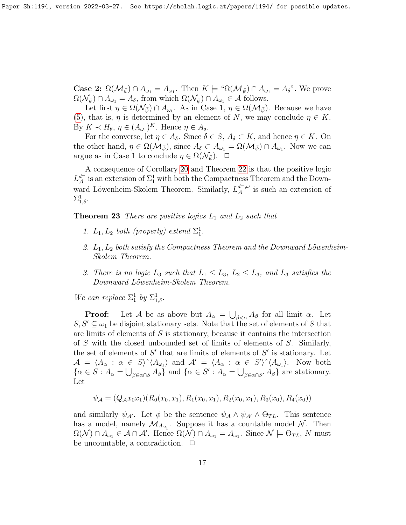**Case 2:**  $\Omega(\mathcal{M}_{\bar{\psi}}) \cap A_{\omega_1} = A_{\omega_1}$ . Then  $K \models \text{``}\Omega(\mathcal{M}_{\bar{\psi}}) \cap A_{\omega_1} = A_{\delta}$ ". We prove  $\Omega(\mathcal{N}_{\bar{\psi}}) \cap A_{\omega_1} = A_{\delta}$ , from which  $\Omega(\mathcal{N}_{\bar{\psi}}) \cap A_{\omega_1} \in \mathcal{A}$  follows.

Let first  $\eta \in \Omega(\mathcal{N}_{\bar{\psi}}) \cap A_{\omega_1}$ . As in Case 1,  $\eta \in \Omega(\mathcal{M}_{\bar{\psi}})$ . Because we have [\(5\)](#page-13-2), that is,  $\eta$  is determined by an element of N, we may conclude  $\eta \in K$ . By  $K \prec H_{\theta}, \eta \in (A_{\omega_1})^K$ . Hence  $\eta \in A_{\delta}$ .

For the converse, let  $\eta \in A_{\delta}$ . Since  $\delta \in S$ ,  $A_{\delta} \subset K$ , and hence  $\eta \in K$ . On the other hand,  $\eta \in \Omega(\mathcal{M}_{\bar{\psi}})$ , since  $A_{\delta} \subset A_{\omega_1} = \Omega(\mathcal{M}_{\bar{\psi}}) \cap A_{\omega_1}$ . Now we can argue as in Case 1 to conclude  $\eta \in \Omega(\mathcal{N}_{\bar{\psi}})$ .  $\Box$ 

A consequence of Corollary [20](#page-14-0) and Theorem [22](#page-14-1) is that the positive logic  $L_A^{d^-}$  is an extension of  $\Sigma_1^1$  with both the Compactness Theorem and the Downward Löwenheim-Skolem Theorem. Similarly,  $L_A^{d^-,\omega}$  is such an extension of  $\Sigma^1_{1,\delta}.$ 

**Theorem 23** There are positive logics  $L_1$  and  $L_2$  such that

- 1.  $L_1, L_2$  both (properly) extend  $\Sigma_1^1$ .
- 2.  $L_1, L_2$  both satisfy the Compactness Theorem and the Downward Löwenheim-Skolem Theorem.
- 3. There is no logic  $L_3$  such that  $L_1 \leq L_3$ ,  $L_2 \leq L_3$ , and  $L_3$  satisfies the Downward Löwenheim-Skolem Theorem.

We can replace  $\Sigma_1^1$  by  $\Sigma_{1,\delta}^1$ .

**Proof:** Let A be as above but  $A_{\alpha} = \bigcup_{\beta < \alpha} A_{\beta}$  for all limit  $\alpha$ . Let  $S, S' \subseteq \omega_1$  be disjoint stationary sets. Note that the set of elements of S that are limits of elements of  $S$  is stationary, because it contains the intersection of S with the closed unbounded set of limits of elements of S. Similarly, the set of elements of  $S'$  that are limits of elements of  $S'$  is stationary. Let  $A = \langle A_{\alpha} : \alpha \in S \rangle^{\wedge} \langle A_{\omega_1} \rangle$  and  $A' = \langle A_{\alpha} : \alpha \in S' \rangle^{\wedge} \langle A_{\omega_1} \rangle$ . Now both  $\{\alpha \in S : A_{\alpha} = \bigcup_{\beta \in \alpha \cap S} A_{\beta}\}\$ and  $\{\alpha \in S' : A_{\alpha} = \bigcup_{\beta \in \alpha \cap S'} A_{\beta}\}\$ are stationary. Let

$$
\psi_{\mathcal{A}} = (Q_{\mathcal{A}}x_0x_1)(R_0(x_0, x_1), R_1(x_0, x_1), R_2(x_0, x_1), R_3(x_0), R_4(x_0))
$$

and similarly  $\psi_{\mathcal{A}}$ . Let  $\phi$  be the sentence  $\psi_{\mathcal{A}} \wedge \psi_{\mathcal{A}} \wedge \Theta_{TL}$ . This sentence has a model, namely  $\mathcal{M}_{A_{\omega_1}}$ . Suppose it has a countable model  $\mathcal{N}$ . Then  $\Omega(\mathcal{N}) \cap A_{\omega_1} \in \mathcal{A} \cap \mathcal{A}'$ . Hence  $\Omega(\mathcal{N}) \cap A_{\omega_1} = A_{\omega_1}$ . Since  $\mathcal{N} \models \Theta_{TL}$ , N must be uncountable, a contradiction.  $\Box$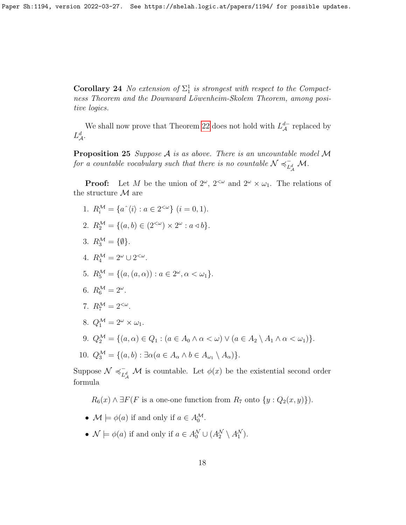**Corollary 24** No extension of  $\Sigma_1^1$  is strongest with respect to the Compactness Theorem and the Downward Löwenheim-Skolem Theorem, among positive logics.

We shall now prove that Theorem [22](#page-14-1) does not hold with  $L^{d-}_{\mathcal{A}}$  replaced by  $L^d_{\mathcal{A}}.$ 

<span id="page-17-0"></span>**Proposition 25** Suppose  $A$  is as above. There is an uncountable model  $M$ for a countable vocabulary such that there is no countable  $N \preccurlyeq_{\tau}^{-1}$  $_{L_A^d}^-$  M.

**Proof:** Let M be the union of  $2^{\omega}$ ,  $2^{<\omega}$  and  $2^{\omega} \times \omega_1$ . The relations of the structure  $\mathcal M$  are

- 1.  $R_i^{\mathcal{M}} = \{a^{\hat{}} \langle i \rangle : a \in 2^{<\omega}\}\ (i = 0, 1).$
- 2.  $R_2^{\mathcal{M}} = \{(a, b) \in (2^{<\omega}) \times 2^{\omega} : a \triangleleft b\}.$
- 3.  $R_3^{\mathcal{M}} = {\emptyset}.$
- 4.  $R_4^{\mathcal{M}} = 2^{\omega} \cup 2^{<\omega}$ .

5. 
$$
R_5^{\mathcal{M}} = \{(a, (a, \alpha)) : a \in 2^{\omega}, \alpha < \omega_1\}.
$$

6.  $R_6^{\mathcal{M}} = 2^{\omega}$ .

7. 
$$
R_7^{\mathcal{M}} = 2^{<\omega}.
$$

- 8.  $Q_1^{\mathcal{M}} = 2^{\omega} \times \omega_1$ .
- 9.  $Q_2^{\mathcal{M}} = \{(a, \alpha) \in Q_1 : (a \in A_0 \land \alpha < \omega) \lor (a \in A_2 \setminus A_1 \land \alpha < \omega_1)\}.$
- 10.  $Q_3^{\mathcal{M}} = \{(a, b) : \exists \alpha (a \in A_\alpha \land b \in A_{\omega_1} \setminus A_\alpha)\}.$

Suppose  $\mathcal{N} \preccurlyeq_{\mathcal{N}}^{-1}$  $L^d$  *M* is countable. Let  $\phi(x)$  be the existential second order formula

 $R_6(x) \wedge \exists F(F \text{ is a one-one function from } R_7 \text{ onto } \{y : Q_2(x, y)\}).$ 

- $\mathcal{M} \models \phi(a)$  if and only if  $a \in A_0^{\mathcal{M}}$ .
- $\mathcal{N} \models \phi(a)$  if and only if  $a \in A_0^{\mathcal{N}} \cup (A_2^{\mathcal{N}} \setminus A_1^{\mathcal{N}})$ .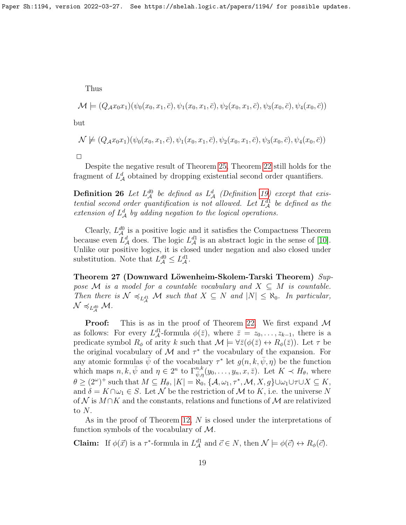Thus

$$
\mathcal{M} \models (Q_{\mathcal{A}}x_0x_1)(\psi_0(x_0, x_1, \bar{c}), \psi_1(x_0, x_1, \bar{c}), \psi_2(x_0, x_1, \bar{c}), \psi_3(x_0, \bar{c}), \psi_4(x_0, \bar{c}))
$$

but

$$
\mathcal{N} \not\models (Q_{\mathcal{A}}x_0x_1)(\psi_0(x_0, x_1, \bar{c}), \psi_1(x_0, x_1, \bar{c}), \psi_2(x_0, x_1, \bar{c}), \psi_3(x_0, \bar{c}), \psi_4(x_0, \bar{c}))
$$

|  | ___ |  |
|--|-----|--|

Despite the negative result of Theorem [25,](#page-17-0) Theorem [22](#page-14-1) still holds for the fragment of  $L^d$  obtained by dropping existential second order quantifiers.

**Definition 26** Let  $L_A^{d0}$  be defined as  $L_A^d$  (Definition [19\)](#page-14-2) except that existential second order quantification is not allowed. Let  $L_A^{d_1}$  be defined as the extension of  $L^d$  by adding negation to the logical operations.

Clearly,  $L_A^{d0}$  is a positive logic and it satisfies the Compactness Theorem because even  $L^d_{\mathcal{A}}$  does. The logic  $L^{d_1}_{\mathcal{A}}$  is an abstract logic in the sense of [\[10\]](#page-20-0). Unlike our positive logics, it is closed under negation and also closed under substitution. Note that  $L^{d0}_{\mathcal{A}} \leq L^{d1}_{\mathcal{A}}$ .

<span id="page-18-0"></span>Theorem 27 (Downward Löwenheim-Skolem-Tarski Theorem) Suppose M is a model for a countable vocabulary and  $X \subseteq M$  is countable. Then there is  $\mathcal{N} \preccurlyeq_{L_A^{d_1}} \mathcal{M}$  such that  $X \subseteq N$  and  $|N| \leq \aleph_0$ . In particular,  $\mathcal{N} \preccurlyeq_{L_{\mathcal{A}}^{d0}} \mathcal{M}.$ 

**Proof:** This is as in the proof of Theorem [22.](#page-14-1) We first expand  $M$ as follows: For every  $L^{d_1}_{\mathcal{A}}$ -formula  $\phi(\bar{z})$ , where  $\bar{z} = z_0, \ldots, z_{k-1}$ , there is a predicate symbol  $R_{\phi}$  of arity k such that  $\mathcal{M} \models \forall \bar{z}(\phi(\bar{z}) \leftrightarrow R_{\phi}(\bar{z}))$ . Let  $\tau$  be the original vocabulary of  $\mathcal M$  and  $\tau^*$  the vocabulary of the expansion. For any atomic formulas  $\psi$  of the vocabulary  $\tau^*$  let  $g(n, k, \bar{\psi}, \eta)$  be the function which maps  $n, k, \bar{\psi}$  and  $\eta \in 2^n$  to  $\Gamma^{n,k}_{\bar{\psi},\eta}(y_0,\ldots,y_n,x,\bar{z})$ . Let  $K \prec H_\theta$ , where  $\theta \geq (2^{\omega})^+$  such that  $M \subseteq H_{\theta}$ ,  $|K| = \aleph_0$ ,  $\{A, \omega_1, \tau^*, \mathcal{M}, X, g\} \cup \omega_1 \cup \tau \cup X \subseteq K$ , and  $\delta = K \cap \omega_1 \in S$ . Let N be the restriction of M to K, i.e. the universe N of N is  $M \cap K$  and the constants, relations and functions of M are relativized to  $N$ .

As in the proof of Theorem [12,](#page-9-0) N is closed under the interpretations of function symbols of the vocabulary of  $M$ .

**Claim:** If  $\phi(\vec{x})$  is a  $\tau^*$ -formula in  $L^{\text{d1}}_{\mathcal{A}}$  and  $\vec{c} \in N$ , then  $\mathcal{N} \models \phi(\vec{c}) \leftrightarrow R_{\phi}(\vec{c})$ .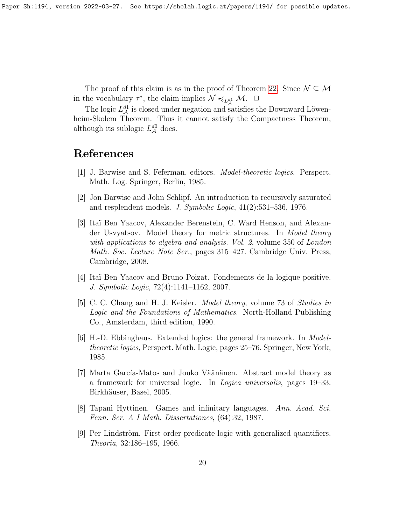The proof of this claim is as in the proof of Theorem [22.](#page-14-1) Since  $\mathcal{N} \subseteq \mathcal{M}$ in the vocabulary  $\tau^*$ , the claim implies  $\mathcal{N} \preccurlyeq_{L_A^{d_1}} \mathcal{M}$ .  $\Box$ 

The logic  $L^{d_1}_{\mathcal{A}}$  is closed under negation and satisfies the Downward Löwenheim-Skolem Theorem. Thus it cannot satisfy the Compactness Theorem, although its sublogic  $L^{d0}_{\mathcal{A}}$  does.

# References

- <span id="page-19-7"></span>[1] J. Barwise and S. Feferman, editors. Model-theoretic logics. Perspect. Math. Log. Springer, Berlin, 1985.
- <span id="page-19-8"></span>[2] Jon Barwise and John Schlipf. An introduction to recursively saturated and resplendent models. J. Symbolic Logic, 41(2):531–536, 1976.
- <span id="page-19-1"></span>[3] Ita¨ı Ben Yaacov, Alexander Berenstein, C. Ward Henson, and Alexander Usvyatsov. Model theory for metric structures. In Model theory with applications to algebra and analysis. Vol. 2, volume 350 of London Math. Soc. Lecture Note Ser., pages 315–427. Cambridge Univ. Press, Cambridge, 2008.
- <span id="page-19-2"></span>[4] Ita¨ı Ben Yaacov and Bruno Poizat. Fondements de la logique positive. J. Symbolic Logic, 72(4):1141–1162, 2007.
- <span id="page-19-6"></span>[5] C. C. Chang and H. J. Keisler. Model theory, volume 73 of Studies in Logic and the Foundations of Mathematics. North-Holland Publishing Co., Amsterdam, third edition, 1990.
- <span id="page-19-4"></span>[6] H.-D. Ebbinghaus. Extended logics: the general framework. In Modeltheoretic logics, Perspect. Math. Logic, pages 25–76. Springer, New York, 1985.
- <span id="page-19-0"></span>[7] Marta García-Matos and Jouko Väänänen. Abstract model theory as a framework for universal logic. In Logica universalis, pages 19–33. Birkhäuser, Basel, 2005.
- <span id="page-19-3"></span>[8] Tapani Hyttinen. Games and infinitary languages. Ann. Acad. Sci. Fenn. Ser. A I Math. Dissertationes, (64):32, 1987.
- <span id="page-19-5"></span>[9] Per Lindström. First order predicate logic with generalized quantifiers. Theoria, 32:186–195, 1966.